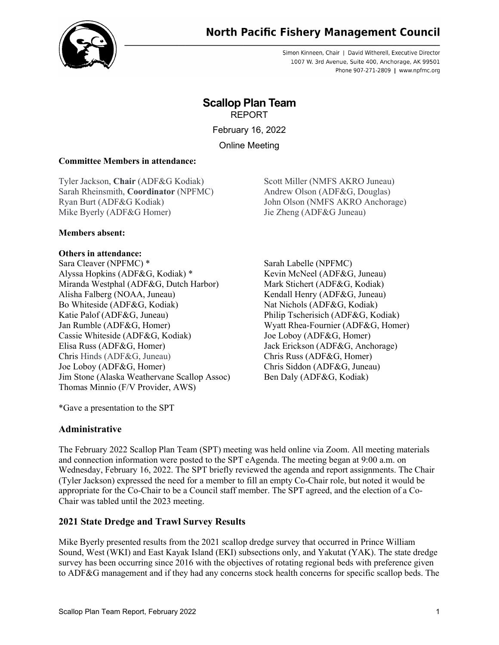

# **North Pacific Fishery Management Council**

Simon Kinneen, Chair | David Witherell, Executive Director 1007 W. 3rd Avenue, Suite 400, Anchorage, AK 99501 Phone 907-271-2809 | www.npfmc.org

# **Scallop Plan Team** REPORT

February 16, 2022

Online Meeting

#### **Committee Members in attendance:**

Tyler Jackson, **Chair** (ADF&G Kodiak) Sarah Rheinsmith, **Coordinator** (NPFMC) Ryan Burt (ADF&G Kodiak) Mike Byerly (ADF&G Homer)

Scott Miller (NMFS AKRO Juneau) Andrew Olson (ADF&G, Douglas) John Olson (NMFS AKRO Anchorage) Jie Zheng (ADF&G Juneau)

#### **Members absent:**

#### **Others in attendance:**

Sara Cleaver (NPFMC) \* Sarah Labelle (NPFMC) Alyssa Hopkins (ADF&G, Kodiak) \* Miranda Westphal (ADF&G, Dutch Harbor) Alisha Falberg (NOAA, Juneau) Bo Whiteside (ADF&G, Kodiak) Katie Palof (ADF&G, Juneau) Jan Rumble (ADF&G, Homer) Cassie Whiteside (ADF&G, Kodiak) Elisa Russ (ADF&G, Homer) Chris Hinds (ADF&G, Juneau) Joe Loboy (ADF&G, Homer) Jim Stone (Alaska Weathervane Scallop Assoc) Thomas Minnio (F/V Provider, AWS)

Kevin McNeel (ADF&G, Juneau) Mark Stichert (ADF&G, Kodiak) Kendall Henry (ADF&G, Juneau) Nat Nichols (ADF&G, Kodiak) Philip Tscherisich (ADF&G, Kodiak) Wyatt Rhea-Fournier (ADF&G, Homer) Joe Loboy (ADF&G, Homer) Jack Erickson (ADF&G, Anchorage) Chris Russ (ADF&G, Homer) Chris Siddon (ADF&G, Juneau) Ben Daly (ADF&G, Kodiak)

\*Gave a presentation to the SPT

#### **Administrative**

The February 2022 Scallop Plan Team (SPT) meeting was held online via Zoom. All meeting materials and connection information were posted to the SPT eAgenda. The meeting began at 9:00 a.m. on Wednesday, February 16, 2022. The SPT briefly reviewed the agenda and report assignments. The Chair (Tyler Jackson) expressed the need for a member to fill an empty Co-Chair role, but noted it would be appropriate for the Co-Chair to be a Council staff member. The SPT agreed, and the election of a Co-Chair was tabled until the 2023 meeting.

#### **2021 State Dredge and Trawl Survey Results**

Mike Byerly presented results from the 2021 scallop dredge survey that occurred in Prince William Sound, West (WKI) and East Kayak Island (EKI) subsections only, and Yakutat (YAK). The state dredge survey has been occurring since 2016 with the objectives of rotating regional beds with preference given to ADF&G management and if they had any concerns stock health concerns for specific scallop beds. The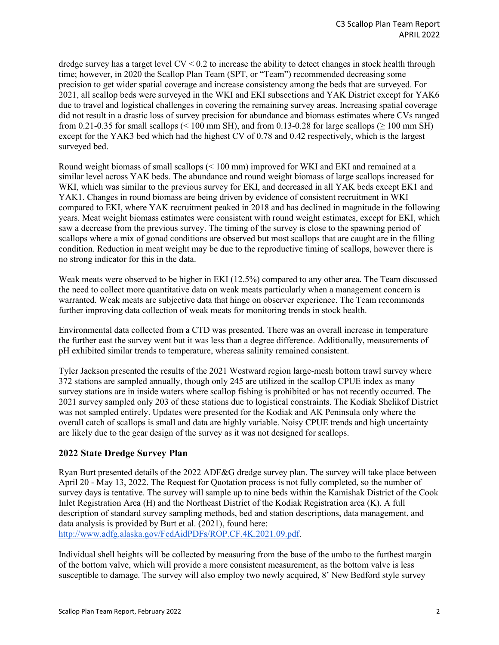dredge survey has a target level  $CV < 0.2$  to increase the ability to detect changes in stock health through time; however, in 2020 the Scallop Plan Team (SPT, or "Team") recommended decreasing some precision to get wider spatial coverage and increase consistency among the beds that are surveyed. For 2021, all scallop beds were surveyed in the WKI and EKI subsections and YAK District except for YAK6 due to travel and logistical challenges in covering the remaining survey areas. Increasing spatial coverage did not result in a drastic loss of survey precision for abundance and biomass estimates where CVs ranged from 0.21-0.35 for small scallops (< 100 mm SH), and from 0.13-0.28 for large scallops ( $\geq$  100 mm SH) except for the YAK3 bed which had the highest CV of 0.78 and 0.42 respectively, which is the largest surveyed bed.

Round weight biomass of small scallops (< 100 mm) improved for WKI and EKI and remained at a similar level across YAK beds. The abundance and round weight biomass of large scallops increased for WKI, which was similar to the previous survey for EKI, and decreased in all YAK beds except EK1 and YAK1. Changes in round biomass are being driven by evidence of consistent recruitment in WKI compared to EKI, where YAK recruitment peaked in 2018 and has declined in magnitude in the following years. Meat weight biomass estimates were consistent with round weight estimates, except for EKI, which saw a decrease from the previous survey. The timing of the survey is close to the spawning period of scallops where a mix of gonad conditions are observed but most scallops that are caught are in the filling condition. Reduction in meat weight may be due to the reproductive timing of scallops, however there is no strong indicator for this in the data.

Weak meats were observed to be higher in EKI (12.5%) compared to any other area. The Team discussed the need to collect more quantitative data on weak meats particularly when a management concern is warranted. Weak meats are subjective data that hinge on observer experience. The Team recommends further improving data collection of weak meats for monitoring trends in stock health.

Environmental data collected from a CTD was presented. There was an overall increase in temperature the further east the survey went but it was less than a degree difference. Additionally, measurements of pH exhibited similar trends to temperature, whereas salinity remained consistent.

Tyler Jackson presented the results of the 2021 Westward region large-mesh bottom trawl survey where 372 stations are sampled annually, though only 245 are utilized in the scallop CPUE index as many survey stations are in inside waters where scallop fishing is prohibited or has not recently occurred. The 2021 survey sampled only 203 of these stations due to logistical constraints. The Kodiak Shelikof District was not sampled entirely. Updates were presented for the Kodiak and AK Peninsula only where the overall catch of scallops is small and data are highly variable. Noisy CPUE trends and high uncertainty are likely due to the gear design of the survey as it was not designed for scallops.

# **2022 State Dredge Survey Plan**

Ryan Burt presented details of the 2022 ADF&G dredge survey plan. The survey will take place between April 20 - May 13, 2022. The Request for Quotation process is not fully completed, so the number of survey days is tentative. The survey will sample up to nine beds within the Kamishak District of the Cook Inlet Registration Area (H) and the Northeast District of the Kodiak Registration area (K). A full description of standard survey sampling methods, bed and station descriptions, data management, and data analysis is provided by Burt et al. (2021), found here: [http://www.adfg.alaska.gov/FedAidPDFs/ROP.CF.4K.2021.09.pdf.](http://www.adfg.alaska.gov/FedAidPDFs/ROP.CF.4K.2021.09.pdf)

Individual shell heights will be collected by measuring from the base of the umbo to the furthest margin of the bottom valve, which will provide a more consistent measurement, as the bottom valve is less susceptible to damage. The survey will also employ two newly acquired, 8' New Bedford style survey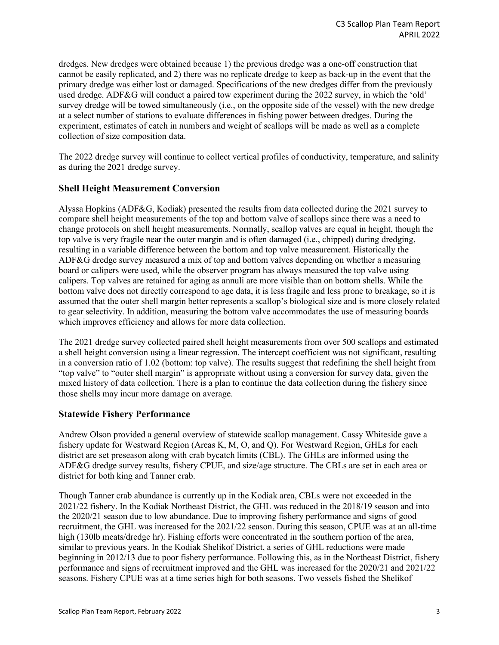dredges. New dredges were obtained because 1) the previous dredge was a one-off construction that cannot be easily replicated, and 2) there was no replicate dredge to keep as back-up in the event that the primary dredge was either lost or damaged. Specifications of the new dredges differ from the previously used dredge. ADF&G will conduct a paired tow experiment during the 2022 survey, in which the 'old' survey dredge will be towed simultaneously (i.e., on the opposite side of the vessel) with the new dredge at a select number of stations to evaluate differences in fishing power between dredges. During the experiment, estimates of catch in numbers and weight of scallops will be made as well as a complete collection of size composition data.

The 2022 dredge survey will continue to collect vertical profiles of conductivity, temperature, and salinity as during the 2021 dredge survey.

### **Shell Height Measurement Conversion**

Alyssa Hopkins (ADF&G, Kodiak) presented the results from data collected during the 2021 survey to compare shell height measurements of the top and bottom valve of scallops since there was a need to change protocols on shell height measurements. Normally, scallop valves are equal in height, though the top valve is very fragile near the outer margin and is often damaged (i.e., chipped) during dredging, resulting in a variable difference between the bottom and top valve measurement. Historically the ADF&G dredge survey measured a mix of top and bottom valves depending on whether a measuring board or calipers were used, while the observer program has always measured the top valve using calipers. Top valves are retained for aging as annuli are more visible than on bottom shells. While the bottom valve does not directly correspond to age data, it is less fragile and less prone to breakage, so it is assumed that the outer shell margin better represents a scallop's biological size and is more closely related to gear selectivity. In addition, measuring the bottom valve accommodates the use of measuring boards which improves efficiency and allows for more data collection.

The 2021 dredge survey collected paired shell height measurements from over 500 scallops and estimated a shell height conversion using a linear regression. The intercept coefficient was not significant, resulting in a conversion ratio of 1.02 (bottom: top valve). The results suggest that redefining the shell height from "top valve" to "outer shell margin" is appropriate without using a conversion for survey data, given the mixed history of data collection. There is a plan to continue the data collection during the fishery since those shells may incur more damage on average.

#### **Statewide Fishery Performance**

Andrew Olson provided a general overview of statewide scallop management. Cassy Whiteside gave a fishery update for Westward Region (Areas K, M, O, and Q). For Westward Region, GHLs for each district are set preseason along with crab bycatch limits (CBL). The GHLs are informed using the ADF&G dredge survey results, fishery CPUE, and size/age structure. The CBLs are set in each area or district for both king and Tanner crab.

Though Tanner crab abundance is currently up in the Kodiak area, CBLs were not exceeded in the 2021/22 fishery. In the Kodiak Northeast District, the GHL was reduced in the 2018/19 season and into the 2020/21 season due to low abundance. Due to improving fishery performance and signs of good recruitment, the GHL was increased for the 2021/22 season. During this season, CPUE was at an all-time high (130lb meats/dredge hr). Fishing efforts were concentrated in the southern portion of the area, similar to previous years. In the Kodiak Shelikof District, a series of GHL reductions were made beginning in 2012/13 due to poor fishery performance. Following this, as in the Northeast District, fishery performance and signs of recruitment improved and the GHL was increased for the 2020/21 and 2021/22 seasons. Fishery CPUE was at a time series high for both seasons. Two vessels fished the Shelikof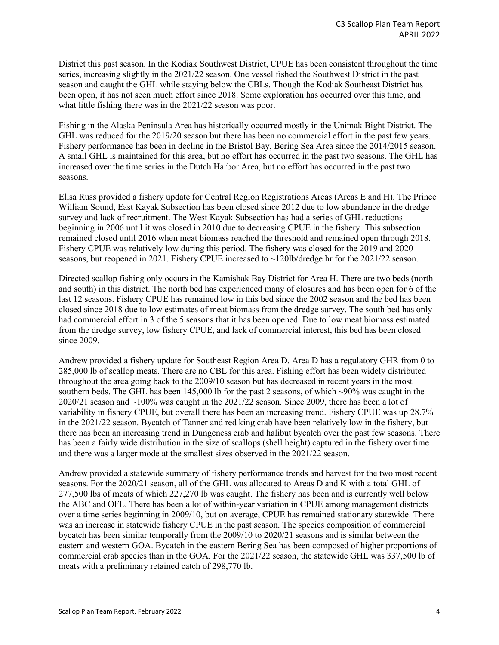District this past season. In the Kodiak Southwest District, CPUE has been consistent throughout the time series, increasing slightly in the 2021/22 season. One vessel fished the Southwest District in the past season and caught the GHL while staying below the CBLs. Though the Kodiak Southeast District has been open, it has not seen much effort since 2018. Some exploration has occurred over this time, and what little fishing there was in the 2021/22 season was poor.

Fishing in the Alaska Peninsula Area has historically occurred mostly in the Unimak Bight District. The GHL was reduced for the 2019/20 season but there has been no commercial effort in the past few years. Fishery performance has been in decline in the Bristol Bay, Bering Sea Area since the 2014/2015 season. A small GHL is maintained for this area, but no effort has occurred in the past two seasons. The GHL has increased over the time series in the Dutch Harbor Area, but no effort has occurred in the past two seasons.

Elisa Russ provided a fishery update for Central Region Registrations Areas (Areas E and H). The Prince William Sound, East Kayak Subsection has been closed since 2012 due to low abundance in the dredge survey and lack of recruitment. The West Kayak Subsection has had a series of GHL reductions beginning in 2006 until it was closed in 2010 due to decreasing CPUE in the fishery. This subsection remained closed until 2016 when meat biomass reached the threshold and remained open through 2018. Fishery CPUE was relatively low during this period. The fishery was closed for the 2019 and 2020 seasons, but reopened in 2021. Fishery CPUE increased to ~120lb/dredge hr for the 2021/22 season.

Directed scallop fishing only occurs in the Kamishak Bay District for Area H. There are two beds (north and south) in this district. The north bed has experienced many of closures and has been open for 6 of the last 12 seasons. Fishery CPUE has remained low in this bed since the 2002 season and the bed has been closed since 2018 due to low estimates of meat biomass from the dredge survey. The south bed has only had commercial effort in 3 of the 5 seasons that it has been opened. Due to low meat biomass estimated from the dredge survey, low fishery CPUE, and lack of commercial interest, this bed has been closed since 2009.

Andrew provided a fishery update for Southeast Region Area D. Area D has a regulatory GHR from 0 to 285,000 lb of scallop meats. There are no CBL for this area. Fishing effort has been widely distributed throughout the area going back to the 2009/10 season but has decreased in recent years in the most southern beds. The GHL has been 145,000 lb for the past 2 seasons, of which ~90% was caught in the 2020/21 season and  $\sim$ 100% was caught in the 2021/22 season. Since 2009, there has been a lot of variability in fishery CPUE, but overall there has been an increasing trend. Fishery CPUE was up 28.7% in the 2021/22 season. Bycatch of Tanner and red king crab have been relatively low in the fishery, but there has been an increasing trend in Dungeness crab and halibut bycatch over the past few seasons. There has been a fairly wide distribution in the size of scallops (shell height) captured in the fishery over time and there was a larger mode at the smallest sizes observed in the 2021/22 season.

Andrew provided a statewide summary of fishery performance trends and harvest for the two most recent seasons. For the 2020/21 season, all of the GHL was allocated to Areas D and K with a total GHL of 277,500 lbs of meats of which 227,270 lb was caught. The fishery has been and is currently well below the ABC and OFL. There has been a lot of within-year variation in CPUE among management districts over a time series beginning in 2009/10, but on average, CPUE has remained stationary statewide. There was an increase in statewide fishery CPUE in the past season. The species composition of commercial bycatch has been similar temporally from the 2009/10 to 2020/21 seasons and is similar between the eastern and western GOA. Bycatch in the eastern Bering Sea has been composed of higher proportions of commercial crab species than in the GOA. For the 2021/22 season, the statewide GHL was 337,500 lb of meats with a preliminary retained catch of 298,770 lb.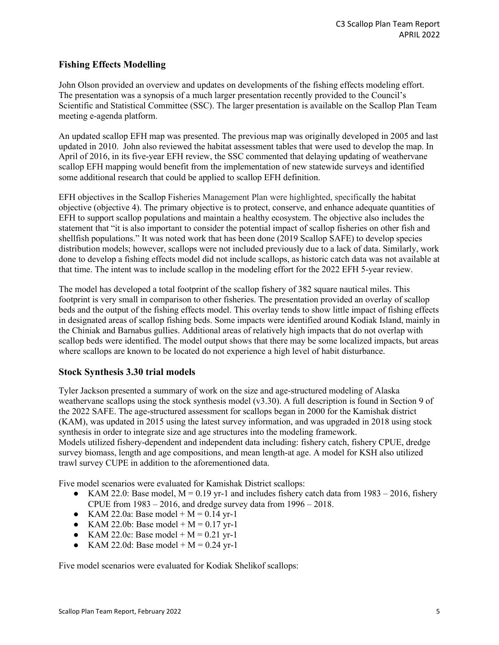## **Fishing Effects Modelling**

John Olson provided an overview and updates on developments of the fishing effects modeling effort. The presentation was a synopsis of a much larger presentation recently provided to the Council's Scientific and Statistical Committee (SSC). The larger presentation is available on the Scallop Plan Team meeting e-agenda platform.

An updated scallop EFH map was presented. The previous map was originally developed in 2005 and last updated in 2010. John also reviewed the habitat assessment tables that were used to develop the map. In April of 2016, in its five-year EFH review, the SSC commented that delaying updating of weathervane scallop EFH mapping would benefit from the implementation of new statewide surveys and identified some additional research that could be applied to scallop EFH definition.

EFH objectives in the Scallop Fisheries Management Plan were highlighted, specifically the habitat objective (objective 4). The primary objective is to protect, conserve, and enhance adequate quantities of EFH to support scallop populations and maintain a healthy ecosystem. The objective also includes the statement that "it is also important to consider the potential impact of scallop fisheries on other fish and shellfish populations." It was noted work that has been done (2019 Scallop SAFE) to develop species distribution models; however, scallops were not included previously due to a lack of data. Similarly, work done to develop a fishing effects model did not include scallops, as historic catch data was not available at that time. The intent was to include scallop in the modeling effort for the 2022 EFH 5-year review.

The model has developed a total footprint of the scallop fishery of 382 square nautical miles. This footprint is very small in comparison to other fisheries. The presentation provided an overlay of scallop beds and the output of the fishing effects model. This overlay tends to show little impact of fishing effects in designated areas of scallop fishing beds. Some impacts were identified around Kodiak Island, mainly in the Chiniak and Barnabus gullies. Additional areas of relatively high impacts that do not overlap with scallop beds were identified. The model output shows that there may be some localized impacts, but areas where scallops are known to be located do not experience a high level of habit disturbance.

#### **Stock Synthesis 3.30 trial models**

Tyler Jackson presented a summary of work on the size and age-structured modeling of Alaska weathervane scallops using the stock synthesis model (v3.30). A full description is found in Section 9 of the 2022 SAFE. The age-structured assessment for scallops began in 2000 for the Kamishak district (KAM), was updated in 2015 using the latest survey information, and was upgraded in 2018 using stock synthesis in order to integrate size and age structures into the modeling framework. Models utilized fishery-dependent and independent data including: fishery catch, fishery CPUE, dredge survey biomass, length and age compositions, and mean length-at age. A model for KSH also utilized trawl survey CUPE in addition to the aforementioned data.

Five model scenarios were evaluated for Kamishak District scallops:

- KAM 22.0: Base model,  $M = 0.19$  yr-1 and includes fishery catch data from 1983 2016, fishery CPUE from  $1983 - 2016$ , and dredge survey data from  $1996 - 2018$ .
- KAM 22.0a: Base model +  $M = 0.14$  yr-1
- KAM 22.0b: Base model +  $M = 0.17$  yr-1
- KAM 22.0c: Base model +  $M = 0.21$  yr-1
- KAM 22.0d: Base model +  $M = 0.24$  yr-1

Five model scenarios were evaluated for Kodiak Shelikof scallops: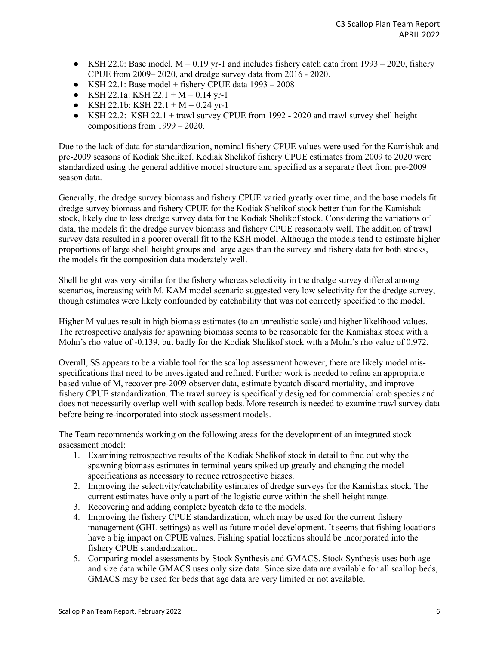- KSH 22.0: Base model,  $M = 0.19$  yr-1 and includes fishery catch data from  $1993 2020$ , fishery CPUE from 2009– 2020, and dredge survey data from 2016 - 2020.
- KSH 22.1: Base model + fishery CPUE data  $1993 2008$
- KSH 22.1a: KSH 22.1 + M = 0.14 yr-1
- KSH 22.1b: KSH 22.1 + M = 0.24 vr-1
- $\bullet$  KSH 22.2: KSH 22.1 + trawl survey CPUE from 1992 2020 and trawl survey shell height compositions from 1999 – 2020.

Due to the lack of data for standardization, nominal fishery CPUE values were used for the Kamishak and pre-2009 seasons of Kodiak Shelikof. Kodiak Shelikof fishery CPUE estimates from 2009 to 2020 were standardized using the general additive model structure and specified as a separate fleet from pre-2009 season data.

Generally, the dredge survey biomass and fishery CPUE varied greatly over time, and the base models fit dredge survey biomass and fishery CPUE for the Kodiak Shelikof stock better than for the Kamishak stock, likely due to less dredge survey data for the Kodiak Shelikof stock. Considering the variations of data, the models fit the dredge survey biomass and fishery CPUE reasonably well. The addition of trawl survey data resulted in a poorer overall fit to the KSH model. Although the models tend to estimate higher proportions of large shell height groups and large ages than the survey and fishery data for both stocks, the models fit the composition data moderately well.

Shell height was very similar for the fishery whereas selectivity in the dredge survey differed among scenarios, increasing with M. KAM model scenario suggested very low selectivity for the dredge survey, though estimates were likely confounded by catchability that was not correctly specified to the model.

Higher M values result in high biomass estimates (to an unrealistic scale) and higher likelihood values. The retrospective analysis for spawning biomass seems to be reasonable for the Kamishak stock with a Mohn's rho value of -0.139, but badly for the Kodiak Shelikof stock with a Mohn's rho value of 0.972.

Overall, SS appears to be a viable tool for the scallop assessment however, there are likely model misspecifications that need to be investigated and refined. Further work is needed to refine an appropriate based value of M, recover pre-2009 observer data, estimate bycatch discard mortality, and improve fishery CPUE standardization. The trawl survey is specifically designed for commercial crab species and does not necessarily overlap well with scallop beds. More research is needed to examine trawl survey data before being re-incorporated into stock assessment models.

The Team recommends working on the following areas for the development of an integrated stock assessment model:

- 1. Examining retrospective results of the Kodiak Shelikof stock in detail to find out why the spawning biomass estimates in terminal years spiked up greatly and changing the model specifications as necessary to reduce retrospective biases.
- 2. Improving the selectivity/catchability estimates of dredge surveys for the Kamishak stock. The current estimates have only a part of the logistic curve within the shell height range.
- 3. Recovering and adding complete bycatch data to the models.
- 4. Improving the fishery CPUE standardization, which may be used for the current fishery management (GHL settings) as well as future model development. It seems that fishing locations have a big impact on CPUE values. Fishing spatial locations should be incorporated into the fishery CPUE standardization.
- 5. Comparing model assessments by Stock Synthesis and GMACS. Stock Synthesis uses both age and size data while GMACS uses only size data. Since size data are available for all scallop beds, GMACS may be used for beds that age data are very limited or not available.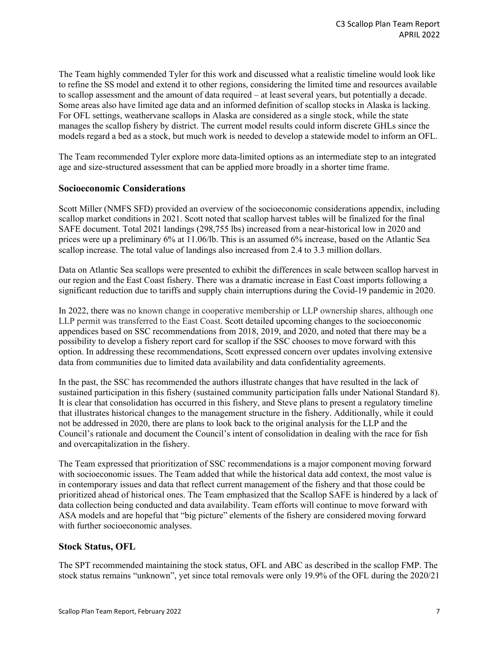The Team highly commended Tyler for this work and discussed what a realistic timeline would look like to refine the SS model and extend it to other regions, considering the limited time and resources available to scallop assessment and the amount of data required – at least several years, but potentially a decade. Some areas also have limited age data and an informed definition of scallop stocks in Alaska is lacking. For OFL settings, weathervane scallops in Alaska are considered as a single stock, while the state manages the scallop fishery by district. The current model results could inform discrete GHLs since the models regard a bed as a stock, but much work is needed to develop a statewide model to inform an OFL.

The Team recommended Tyler explore more data-limited options as an intermediate step to an integrated age and size-structured assessment that can be applied more broadly in a shorter time frame.

#### **Socioeconomic Considerations**

Scott Miller (NMFS SFD) provided an overview of the socioeconomic considerations appendix, including scallop market conditions in 2021. Scott noted that scallop harvest tables will be finalized for the final SAFE document. Total 2021 landings (298,755 lbs) increased from a near-historical low in 2020 and prices were up a preliminary 6% at 11.06/lb. This is an assumed 6% increase, based on the Atlantic Sea scallop increase. The total value of landings also increased from 2.4 to 3.3 million dollars.

Data on Atlantic Sea scallops were presented to exhibit the differences in scale between scallop harvest in our region and the East Coast fishery. There was a dramatic increase in East Coast imports following a significant reduction due to tariffs and supply chain interruptions during the Covid-19 pandemic in 2020.

In 2022, there was no known change in cooperative membership or LLP ownership shares, although one LLP permit was transferred to the East Coast. Scott detailed upcoming changes to the socioeconomic appendices based on SSC recommendations from 2018, 2019, and 2020, and noted that there may be a possibility to develop a fishery report card for scallop if the SSC chooses to move forward with this option. In addressing these recommendations, Scott expressed concern over updates involving extensive data from communities due to limited data availability and data confidentiality agreements.

In the past, the SSC has recommended the authors illustrate changes that have resulted in the lack of sustained participation in this fishery (sustained community participation falls under National Standard 8). It is clear that consolidation has occurred in this fishery, and Steve plans to present a regulatory timeline that illustrates historical changes to the management structure in the fishery. Additionally, while it could not be addressed in 2020, there are plans to look back to the original analysis for the LLP and the Council's rationale and document the Council's intent of consolidation in dealing with the race for fish and overcapitalization in the fishery.

The Team expressed that prioritization of SSC recommendations is a major component moving forward with socioeconomic issues. The Team added that while the historical data add context, the most value is in contemporary issues and data that reflect current management of the fishery and that those could be prioritized ahead of historical ones. The Team emphasized that the Scallop SAFE is hindered by a lack of data collection being conducted and data availability. Team efforts will continue to move forward with ASA models and are hopeful that "big picture" elements of the fishery are considered moving forward with further socioeconomic analyses.

#### **Stock Status, OFL**

The SPT recommended maintaining the stock status, OFL and ABC as described in the scallop FMP. The stock status remains "unknown", yet since total removals were only 19.9% of the OFL during the 2020/21